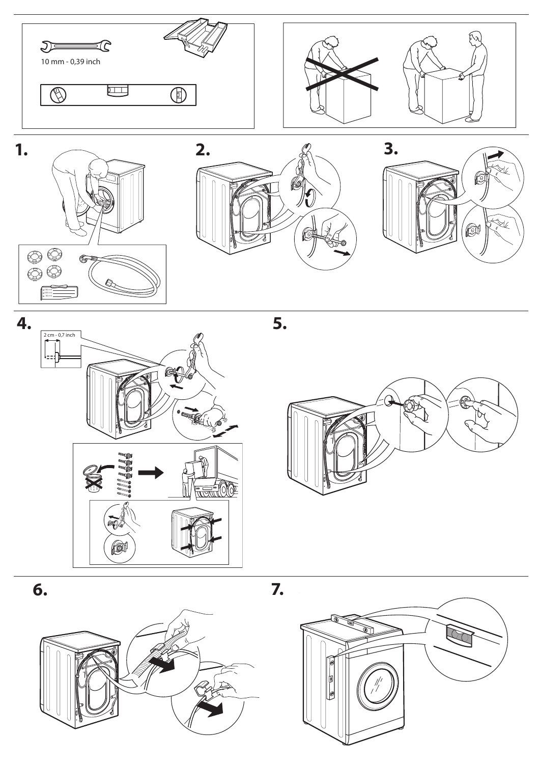













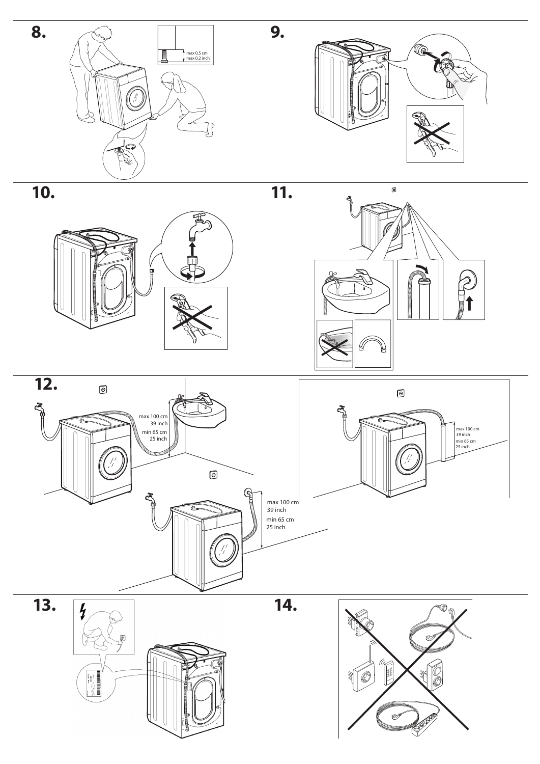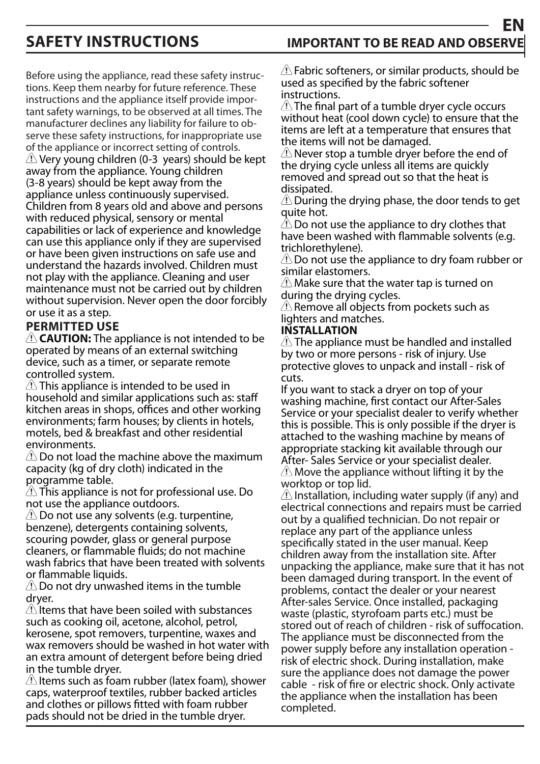# **EN SAFETY INSTRUCTIONS IMPORTANT TO BE READ AND OBSERV**

Before using the appliance, read these safety instructions. Keep them nearby for future reference. These instructions and the appliance itself provide important safety warnings, to be observed at all times. The manufacturer declines any liability for failure to observe these safety instructions, for inappropriate use of the appliance or incorrect setting of controls.  $\langle \cdot \rangle$  Very young children (0-3 years) should be kept away from the appliance. Young children (3-8 years) should be kept away from the appliance unless continuously supervised. Children from 8 years old and above and persons with reduced physical, sensory or mental capabilities or lack of experience and knowledge can use this appliance only if they are supervised or have been given instructions on safe use and understand the hazards involved. Children must not play with the appliance. Cleaning and user maintenance must not be carried out by children without supervision. Never open the door forcibly or use it as a step.

# **PERMITTED USE**

 **CAUTION:** The appliance is not intended to be operated by means of an external switching device, such as a timer, or separate remote controlled system.

 $\triangle$  This appliance is intended to be used in household and similar applications such as: staff kitchen areas in shops, offices and other working environments; farm houses; by clients in hotels, motels, bed & breakfast and other residential environments.

 $\triangle$  Do not load the machine above the maximum capacity (kg of dry cloth) indicated in the programme table.

 $\sqrt{2}$  This appliance is not for professional use. Do not use the appliance outdoors.

 $\langle \cdot \rangle$  Do not use any solvents (e.g. turpentine, benzene), detergents containing solvents, scouring powder, glass or general purpose cleaners, or flammable fluids; do not machine wash fabrics that have been treated with solvents or flammable liquids.

 $\langle \cdot \rangle$  Do not dry unwashed items in the tumble dryer.

 $\triangle$  Items that have been soiled with substances such as cooking oil, acetone, alcohol, petrol, kerosene, spot removers, turpentine, waxes and wax removers should be washed in hot water with an extra amount of detergent before being dried in the tumble dryer.

 $\triangle$  Items such as foam rubber (latex foam), shower caps, waterproof textiles, rubber backed articles and clothes or pillows fitted with foam rubber pads should not be dried in the tumble dryer.

 $\langle \cdot \rangle$  Fabric softeners, or similar products, should be used as specified by the fabric softener instructions.

 $\triangle$  The final part of a tumble dryer cycle occurs without heat (cool down cycle) to ensure that the items are left at a temperature that ensures that the items will not be damaged.

 $\triangle$  Never stop a tumble dryer before the end of the drying cycle unless all items are quickly removed and spread out so that the heat is dissipated.

 $\langle \cdot \rangle$  During the drying phase, the door tends to get quite hot.

 $\triangle$  Do not use the appliance to dry clothes that have been washed with flammable solvents (e.g. trichlorethylene).

 $\triangle$  Do not use the appliance to dry foam rubber or similar elastomers.

 $\langle \cdot \rangle$  Make sure that the water tap is turned on during the drying cycles.

 $\langle \cdot \rangle$  Remove all objects from pockets such as lighters and matches.

### **INSTALLATION**

 $\triangle$  The appliance must be handled and installed by two or more persons - risk of injury. Use protective gloves to unpack and install - risk of cuts.

If you want to stack a dryer on top of your washing machine, first contact our After-Sales Service or your specialist dealer to verify whether this is possible. This is only possible if the dryer is attached to the washing machine by means of appropriate stacking kit available through our After- Sales Service or your specialist dealer.  $\triangle$  Move the appliance without lifting it by the worktop or top lid.

 $\langle \cdot \rangle$  Installation, including water supply (if any) and electrical connections and repairs must be carried out by a qualified technician. Do not repair or replace any part of the appliance unless specifically stated in the user manual. Keep children away from the installation site. After unpacking the appliance, make sure that it has not been damaged during transport. In the event of problems, contact the dealer or your nearest After-sales Service. Once installed, packaging waste (plastic, styrofoam parts etc.) must be stored out of reach of children - risk of suffocation. The appliance must be disconnected from the power supply before any installation operation risk of electric shock. During installation, make sure the appliance does not damage the power cable - risk of fire or electric shock. Only activate the appliance when the installation has been completed.